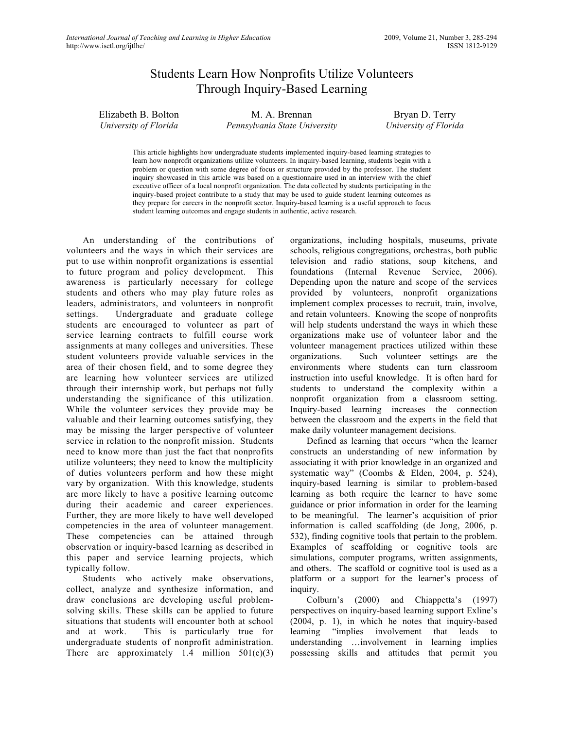# Students Learn How Nonprofits Utilize Volunteers Through Inquiry-Based Learning

Elizabeth B. Bolton *University of Florida*

M. A. Brennan *Pennsylvania State University*

Bryan D. Terry *University of Florida*

This article highlights how undergraduate students implemented inquiry-based learning strategies to learn how nonprofit organizations utilize volunteers. In inquiry-based learning, students begin with a problem or question with some degree of focus or structure provided by the professor. The student inquiry showcased in this article was based on a questionnaire used in an interview with the chief executive officer of a local nonprofit organization. The data collected by students participating in the inquiry-based project contribute to a study that may be used to guide student learning outcomes as they prepare for careers in the nonprofit sector. Inquiry-based learning is a useful approach to focus student learning outcomes and engage students in authentic, active research.

An understanding of the contributions of volunteers and the ways in which their services are put to use within nonprofit organizations is essential to future program and policy development. This awareness is particularly necessary for college students and others who may play future roles as leaders, administrators, and volunteers in nonprofit settings. Undergraduate and graduate college students are encouraged to volunteer as part of service learning contracts to fulfill course work assignments at many colleges and universities. These student volunteers provide valuable services in the area of their chosen field, and to some degree they are learning how volunteer services are utilized through their internship work, but perhaps not fully understanding the significance of this utilization. While the volunteer services they provide may be valuable and their learning outcomes satisfying, they may be missing the larger perspective of volunteer service in relation to the nonprofit mission. Students need to know more than just the fact that nonprofits utilize volunteers; they need to know the multiplicity of duties volunteers perform and how these might vary by organization. With this knowledge, students are more likely to have a positive learning outcome during their academic and career experiences. Further, they are more likely to have well developed competencies in the area of volunteer management. These competencies can be attained through observation or inquiry-based learning as described in this paper and service learning projects, which typically follow.

Students who actively make observations, collect, analyze and synthesize information, and draw conclusions are developing useful problemsolving skills. These skills can be applied to future situations that students will encounter both at school and at work. This is particularly true for undergraduate students of nonprofit administration. There are approximately 1.4 million  $501(c)(3)$  organizations, including hospitals, museums, private schools, religious congregations, orchestras, both public television and radio stations, soup kitchens, and foundations (Internal Revenue Service, 2006). Depending upon the nature and scope of the services provided by volunteers, nonprofit organizations implement complex processes to recruit, train, involve, and retain volunteers. Knowing the scope of nonprofits will help students understand the ways in which these organizations make use of volunteer labor and the volunteer management practices utilized within these organizations. Such volunteer settings are the environments where students can turn classroom instruction into useful knowledge. It is often hard for students to understand the complexity within a nonprofit organization from a classroom setting. Inquiry-based learning increases the connection between the classroom and the experts in the field that make daily volunteer management decisions.

Defined as learning that occurs "when the learner constructs an understanding of new information by associating it with prior knowledge in an organized and systematic way" (Coombs & Elden, 2004, p. 524), inquiry-based learning is similar to problem-based learning as both require the learner to have some guidance or prior information in order for the learning to be meaningful. The learner's acquisition of prior information is called scaffolding (de Jong, 2006, p. 532), finding cognitive tools that pertain to the problem. Examples of scaffolding or cognitive tools are simulations, computer programs, written assignments, and others. The scaffold or cognitive tool is used as a platform or a support for the learner's process of inquiry.

Colburn's (2000) and Chiappetta's (1997) perspectives on inquiry-based learning support Exline's (2004, p. 1), in which he notes that inquiry-based learning "implies involvement that leads to understanding …involvement in learning implies possessing skills and attitudes that permit you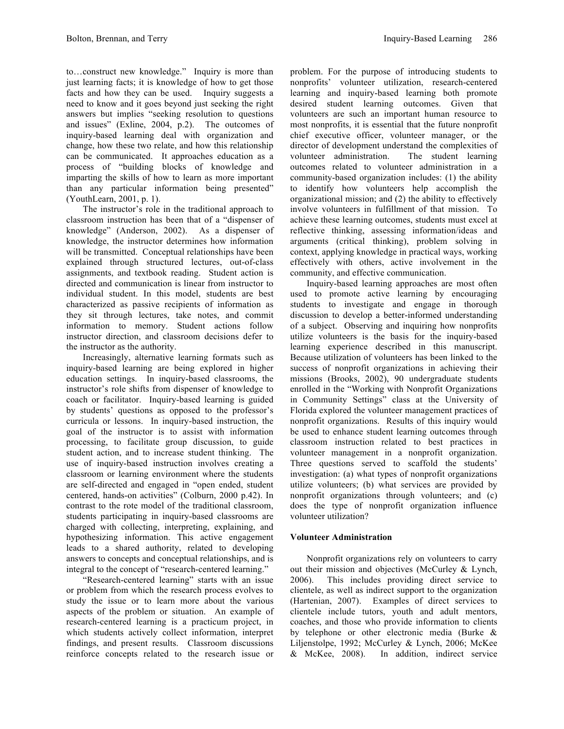to…construct new knowledge." Inquiry is more than just learning facts; it is knowledge of how to get those facts and how they can be used. Inquiry suggests a need to know and it goes beyond just seeking the right answers but implies "seeking resolution to questions and issues" (Exline, 2004, p.2). The outcomes of inquiry-based learning deal with organization and change, how these two relate, and how this relationship can be communicated. It approaches education as a process of "building blocks of knowledge and imparting the skills of how to learn as more important than any particular information being presented" (YouthLearn, 2001, p. 1).

The instructor's role in the traditional approach to classroom instruction has been that of a "dispenser of knowledge" (Anderson, 2002). As a dispenser of knowledge, the instructor determines how information will be transmitted. Conceptual relationships have been explained through structured lectures, out-of-class assignments, and textbook reading. Student action is directed and communication is linear from instructor to individual student. In this model, students are best characterized as passive recipients of information as they sit through lectures, take notes, and commit information to memory. Student actions follow instructor direction, and classroom decisions defer to the instructor as the authority.

Increasingly, alternative learning formats such as inquiry-based learning are being explored in higher education settings. In inquiry-based classrooms, the instructor's role shifts from dispenser of knowledge to coach or facilitator. Inquiry-based learning is guided by students' questions as opposed to the professor's curricula or lessons. In inquiry-based instruction, the goal of the instructor is to assist with information processing, to facilitate group discussion, to guide student action, and to increase student thinking. The use of inquiry-based instruction involves creating a classroom or learning environment where the students are self-directed and engaged in "open ended, student centered, hands-on activities" (Colburn, 2000 p.42). In contrast to the rote model of the traditional classroom, students participating in inquiry-based classrooms are charged with collecting, interpreting, explaining, and hypothesizing information. This active engagement leads to a shared authority, related to developing answers to concepts and conceptual relationships, and is integral to the concept of "research-centered learning."

"Research-centered learning" starts with an issue or problem from which the research process evolves to study the issue or to learn more about the various aspects of the problem or situation. An example of research-centered learning is a practicum project, in which students actively collect information, interpret findings, and present results. Classroom discussions reinforce concepts related to the research issue or problem. For the purpose of introducing students to nonprofits' volunteer utilization, research-centered learning and inquiry-based learning both promote desired student learning outcomes. Given that volunteers are such an important human resource to most nonprofits, it is essential that the future nonprofit chief executive officer, volunteer manager, or the director of development understand the complexities of volunteer administration. The student learning outcomes related to volunteer administration in a community-based organization includes: (1) the ability to identify how volunteers help accomplish the organizational mission; and (2) the ability to effectively involve volunteers in fulfillment of that mission. To achieve these learning outcomes, students must excel at reflective thinking, assessing information/ideas and arguments (critical thinking), problem solving in context, applying knowledge in practical ways, working effectively with others, active involvement in the community, and effective communication.

Inquiry-based learning approaches are most often used to promote active learning by encouraging students to investigate and engage in thorough discussion to develop a better-informed understanding of a subject. Observing and inquiring how nonprofits utilize volunteers is the basis for the inquiry-based learning experience described in this manuscript. Because utilization of volunteers has been linked to the success of nonprofit organizations in achieving their missions (Brooks, 2002), 90 undergraduate students enrolled in the "Working with Nonprofit Organizations in Community Settings" class at the University of Florida explored the volunteer management practices of nonprofit organizations. Results of this inquiry would be used to enhance student learning outcomes through classroom instruction related to best practices in volunteer management in a nonprofit organization. Three questions served to scaffold the students' investigation: (a) what types of nonprofit organizations utilize volunteers; (b) what services are provided by nonprofit organizations through volunteers; and (c) does the type of nonprofit organization influence volunteer utilization?

## **Volunteer Administration**

Nonprofit organizations rely on volunteers to carry out their mission and objectives (McCurley & Lynch, 2006). This includes providing direct service to clientele, as well as indirect support to the organization (Hartenian, 2007). Examples of direct services to clientele include tutors, youth and adult mentors, coaches, and those who provide information to clients by telephone or other electronic media (Burke & Liljenstolpe, 1992; McCurley & Lynch, 2006; McKee & McKee, 2008). In addition, indirect service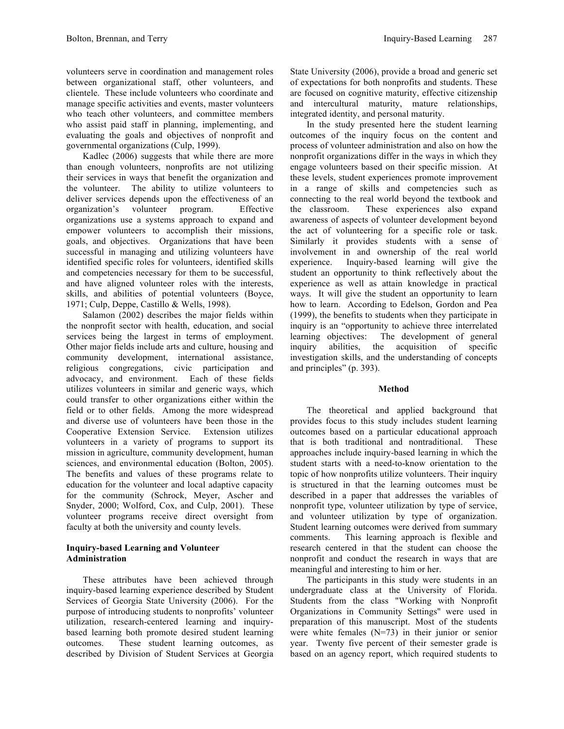volunteers serve in coordination and management roles between organizational staff, other volunteers, and clientele. These include volunteers who coordinate and manage specific activities and events, master volunteers who teach other volunteers, and committee members who assist paid staff in planning, implementing, and evaluating the goals and objectives of nonprofit and governmental organizations (Culp, 1999).

Kadlec (2006) suggests that while there are more than enough volunteers, nonprofits are not utilizing their services in ways that benefit the organization and the volunteer. The ability to utilize volunteers to deliver services depends upon the effectiveness of an organization's volunteer program. Effective organizations use a systems approach to expand and empower volunteers to accomplish their missions, goals, and objectives. Organizations that have been successful in managing and utilizing volunteers have identified specific roles for volunteers, identified skills and competencies necessary for them to be successful, and have aligned volunteer roles with the interests, skills, and abilities of potential volunteers (Boyce, 1971; Culp, Deppe, Castillo & Wells, 1998).

Salamon (2002) describes the major fields within the nonprofit sector with health, education, and social services being the largest in terms of employment. Other major fields include arts and culture, housing and community development, international assistance, religious congregations, civic participation and advocacy, and environment. Each of these fields utilizes volunteers in similar and generic ways, which could transfer to other organizations either within the field or to other fields. Among the more widespread and diverse use of volunteers have been those in the Cooperative Extension Service. Extension utilizes volunteers in a variety of programs to support its mission in agriculture, community development, human sciences, and environmental education (Bolton, 2005). The benefits and values of these programs relate to education for the volunteer and local adaptive capacity for the community (Schrock, Meyer, Ascher and Snyder, 2000; Wolford, Cox, and Culp, 2001). These volunteer programs receive direct oversight from faculty at both the university and county levels.

#### **Inquiry-based Learning and Volunteer Administration**

These attributes have been achieved through inquiry-based learning experience described by Student Services of Georgia State University (2006). For the purpose of introducing students to nonprofits' volunteer utilization, research-centered learning and inquirybased learning both promote desired student learning outcomes. These student learning outcomes, as described by Division of Student Services at Georgia

State University (2006), provide a broad and generic set of expectations for both nonprofits and students. These are focused on cognitive maturity, effective citizenship and intercultural maturity, mature relationships, integrated identity, and personal maturity.

In the study presented here the student learning outcomes of the inquiry focus on the content and process of volunteer administration and also on how the nonprofit organizations differ in the ways in which they engage volunteers based on their specific mission. At these levels, student experiences promote improvement in a range of skills and competencies such as connecting to the real world beyond the textbook and the classroom. These experiences also expand awareness of aspects of volunteer development beyond the act of volunteering for a specific role or task. Similarly it provides students with a sense of involvement in and ownership of the real world experience. Inquiry-based learning will give the student an opportunity to think reflectively about the experience as well as attain knowledge in practical ways. It will give the student an opportunity to learn how to learn. According to Edelson, Gordon and Pea (1999), the benefits to students when they participate in inquiry is an "opportunity to achieve three interrelated learning objectives: The development of general inquiry abilities, the acquisition of specific investigation skills, and the understanding of concepts and principles" (p. 393).

## **Method**

The theoretical and applied background that provides focus to this study includes student learning outcomes based on a particular educational approach that is both traditional and nontraditional. These approaches include inquiry-based learning in which the student starts with a need-to-know orientation to the topic of how nonprofits utilize volunteers. Their inquiry is structured in that the learning outcomes must be described in a paper that addresses the variables of nonprofit type, volunteer utilization by type of service, and volunteer utilization by type of organization. Student learning outcomes were derived from summary comments. This learning approach is flexible and research centered in that the student can choose the nonprofit and conduct the research in ways that are meaningful and interesting to him or her.

The participants in this study were students in an undergraduate class at the University of Florida. Students from the class "Working with Nonprofit Organizations in Community Settings" were used in preparation of this manuscript. Most of the students were white females  $(N=73)$  in their junior or senior year. Twenty five percent of their semester grade is based on an agency report, which required students to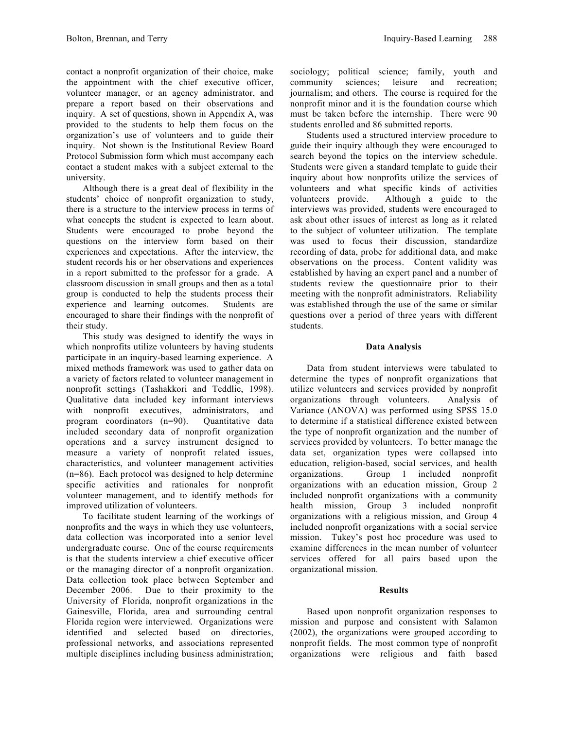contact a nonprofit organization of their choice, make the appointment with the chief executive officer, volunteer manager, or an agency administrator, and prepare a report based on their observations and inquiry. A set of questions, shown in Appendix A, was provided to the students to help them focus on the organization's use of volunteers and to guide their inquiry. Not shown is the Institutional Review Board Protocol Submission form which must accompany each contact a student makes with a subject external to the university.

Although there is a great deal of flexibility in the students' choice of nonprofit organization to study, there is a structure to the interview process in terms of what concepts the student is expected to learn about. Students were encouraged to probe beyond the questions on the interview form based on their experiences and expectations. After the interview, the student records his or her observations and experiences in a report submitted to the professor for a grade. A classroom discussion in small groups and then as a total group is conducted to help the students process their experience and learning outcomes. Students are encouraged to share their findings with the nonprofit of their study.

This study was designed to identify the ways in which nonprofits utilize volunteers by having students participate in an inquiry-based learning experience. A mixed methods framework was used to gather data on a variety of factors related to volunteer management in nonprofit settings (Tashakkori and Teddlie, 1998). Qualitative data included key informant interviews with nonprofit executives, administrators, and program coordinators (n=90). Quantitative data included secondary data of nonprofit organization operations and a survey instrument designed to measure a variety of nonprofit related issues, characteristics, and volunteer management activities (n=86). Each protocol was designed to help determine specific activities and rationales for nonprofit volunteer management, and to identify methods for improved utilization of volunteers.

To facilitate student learning of the workings of nonprofits and the ways in which they use volunteers, data collection was incorporated into a senior level undergraduate course. One of the course requirements is that the students interview a chief executive officer or the managing director of a nonprofit organization. Data collection took place between September and December 2006. Due to their proximity to the University of Florida, nonprofit organizations in the Gainesville, Florida, area and surrounding central Florida region were interviewed. Organizations were identified and selected based on directories, professional networks, and associations represented multiple disciplines including business administration;

sociology; political science; family, youth and community sciences; leisure and recreation; journalism; and others. The course is required for the nonprofit minor and it is the foundation course which must be taken before the internship. There were 90 students enrolled and 86 submitted reports.

Students used a structured interview procedure to guide their inquiry although they were encouraged to search beyond the topics on the interview schedule. Students were given a standard template to guide their inquiry about how nonprofits utilize the services of volunteers and what specific kinds of activities volunteers provide. Although a guide to the interviews was provided, students were encouraged to ask about other issues of interest as long as it related to the subject of volunteer utilization. The template was used to focus their discussion, standardize recording of data, probe for additional data, and make observations on the process. Content validity was established by having an expert panel and a number of students review the questionnaire prior to their meeting with the nonprofit administrators. Reliability was established through the use of the same or similar questions over a period of three years with different students.

#### **Data Analysis**

Data from student interviews were tabulated to determine the types of nonprofit organizations that utilize volunteers and services provided by nonprofit organizations through volunteers. Analysis of Variance (ANOVA) was performed using SPSS 15.0 to determine if a statistical difference existed between the type of nonprofit organization and the number of services provided by volunteers. To better manage the data set, organization types were collapsed into education, religion-based, social services, and health organizations. Group 1 included nonprofit organizations with an education mission, Group 2 included nonprofit organizations with a community health mission, Group 3 included nonprofit organizations with a religious mission, and Group 4 included nonprofit organizations with a social service mission. Tukey's post hoc procedure was used to examine differences in the mean number of volunteer services offered for all pairs based upon the organizational mission.

## **Results**

Based upon nonprofit organization responses to mission and purpose and consistent with Salamon (2002), the organizations were grouped according to nonprofit fields. The most common type of nonprofit organizations were religious and faith based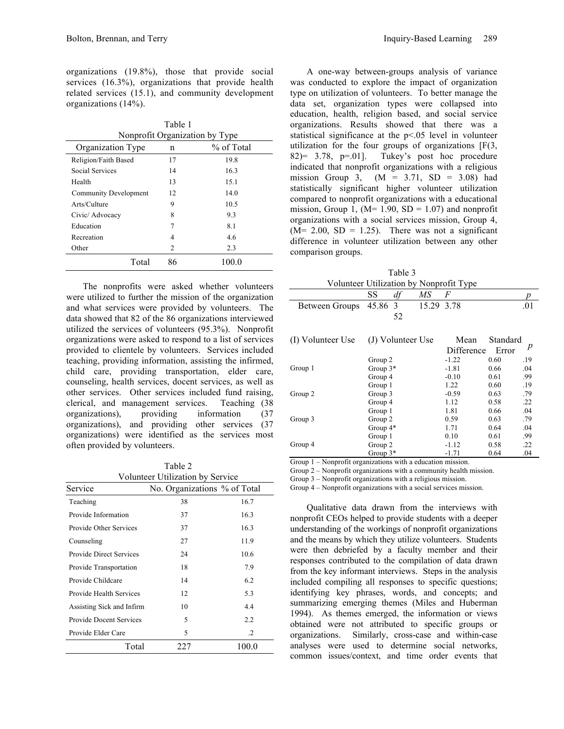organizations (19.8%), those that provide social services (16.3%), organizations that provide health related services (15.1), and community development organizations (14%).

Table 1 Nonprofit Organization by Type

| Organization Type     | n  | % of Total |
|-----------------------|----|------------|
| Religion/Faith Based  | 17 | 19.8       |
| Social Services       | 14 | 16.3       |
| Health                | 13 | 15.1       |
| Community Development | 12 | 14.0       |
| Arts/Culture          | 9  | 10.5       |
| Civic/ Advocacy       | 8  | 9.3        |
| Education             | 7  | 8.1        |
| Recreation            | 4  | 4.6        |
| Other                 | 2  | 2.3        |
| Total                 | 86 | 100.0      |

The nonprofits were asked whether volunteers were utilized to further the mission of the organization and what services were provided by volunteers. The data showed that 82 of the 86 organizations interviewed utilized the services of volunteers (95.3%). Nonprofit organizations were asked to respond to a list of services provided to clientele by volunteers. Services included teaching, providing information, assisting the infirmed, child care, providing transportation, elder care, counseling, health services, docent services, as well as other services. Other services included fund raising, clerical, and management services. Teaching (38 organizations), providing information (37 organizations), and providing other services (37 organizations) were identified as the services most often provided by volunteers.

Table 2 Volunteer Utilization by Service

| Service                        | No. Organizations % of Total |         |
|--------------------------------|------------------------------|---------|
| Teaching                       | 38                           | 16.7    |
| Provide Information            | 37                           | 16.3    |
| Provide Other Services         | 37                           | 16.3    |
| Counseling                     | 27                           | 11.9    |
| <b>Provide Direct Services</b> | 24                           | 10.6    |
| Provide Transportation         | 18                           | 7.9     |
| Provide Childcare              | 14                           | 6.2     |
| Provide Health Services        | 12                           | 5.3     |
| Assisting Sick and Infirm      | 10                           | 4.4     |
| <b>Provide Docent Services</b> | 5                            | 2.2     |
| Provide Elder Care             | 5                            | $\cdot$ |
| Total                          | 227                          | 100.0   |

A one-way between-groups analysis of variance was conducted to explore the impact of organization type on utilization of volunteers. To better manage the data set, organization types were collapsed into education, health, religion based, and social service organizations. Results showed that there was a statistical significance at the p<.05 level in volunteer utilization for the four groups of organizations [F(3, 82 $)$ = 3.78, p=.01]. Tukey's post hoc procedure indicated that nonprofit organizations with a religious mission Group 3,  $(M = 3.71, SD = 3.08)$  had statistically significant higher volunteer utilization compared to nonprofit organizations with a educational mission, Group 1, ( $M= 1.90$ ,  $SD = 1.07$ ) and nonprofit organizations with a social services mission, Group 4,  $(M= 2.00, SD = 1.25)$ . There was not a significant difference in volunteer utilization between any other comparison groups.

Table 3 Volunteer Utilization by Nonprofit Type

|                                        | SS         | df | МS         | F          |       |     |
|----------------------------------------|------------|----|------------|------------|-------|-----|
| Between Groups                         | 45.86 3    |    | 15.29 3.78 |            |       | .01 |
|                                        |            | 52 |            |            |       |     |
| (I) Volunteer Use<br>(J) Volunteer Use |            |    | Mean       | Standard   |       |     |
|                                        |            |    |            | Difference | Error | p   |
|                                        | Group 2    |    |            | $-1.22$    | 0.60  | .19 |
| Group 1                                | Group $3*$ |    |            | $-1.81$    | 0.66  | .04 |
|                                        | Group 4    |    |            | $-0.10$    | 0.61  | .99 |
| Group 2                                | Group 1    |    |            | 1.22       | 0.60  | .19 |
|                                        | Group 3    |    |            | $-0.59$    | 0.63  | .79 |
|                                        | Group 4    |    |            | 1.12       | 0.58  | .22 |
| Group 3                                | Group 1    |    |            | 1.81       | 0.66  | .04 |
|                                        | Group 2    |    |            | 0.59       | 0.63  | .79 |
|                                        | Group $4*$ |    |            | 1.71       | 0.64  | .04 |
| Group 4                                | Group 1    |    |            | 0.10       | 0.61  | .99 |
|                                        | Group 2    |    |            | $-1.12$    | 0.58  | .22 |
|                                        | Group $3*$ |    |            | $-1.71$    | 0.64  | .04 |

Group 1 – Nonprofit organizations with a education mission.

Group 2 – Nonprofit organizations with a community health mission.

Group 3 – Nonprofit organizations with a religious mission.

Group 4 – Nonprofit organizations with a social services mission.

Qualitative data drawn from the interviews with nonprofit CEOs helped to provide students with a deeper understanding of the workings of nonprofit organizations and the means by which they utilize volunteers. Students were then debriefed by a faculty member and their responses contributed to the compilation of data drawn from the key informant interviews. Steps in the analysis included compiling all responses to specific questions; identifying key phrases, words, and concepts; and summarizing emerging themes (Miles and Huberman 1994). As themes emerged, the information or views obtained were not attributed to specific groups or organizations. Similarly, cross-case and within-case analyses were used to determine social networks, common issues/context, and time order events that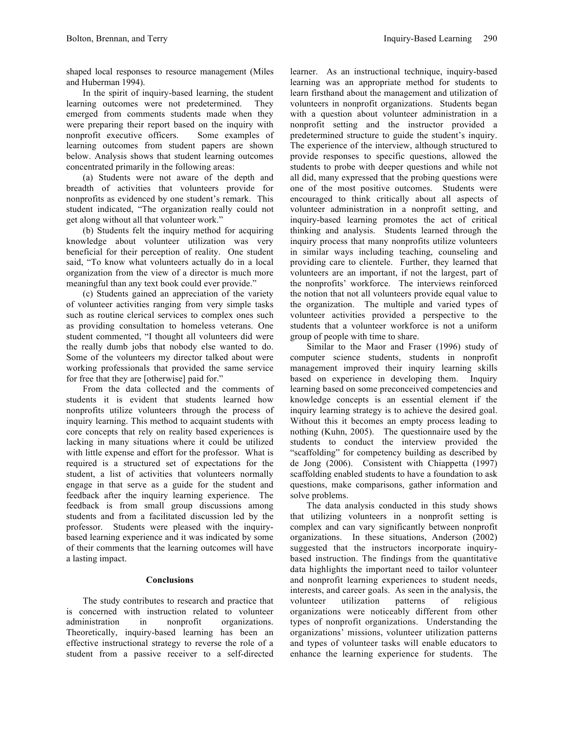shaped local responses to resource management (Miles and Huberman 1994).

In the spirit of inquiry-based learning, the student learning outcomes were not predetermined. They emerged from comments students made when they were preparing their report based on the inquiry with nonprofit executive officers. Some examples of learning outcomes from student papers are shown below. Analysis shows that student learning outcomes concentrated primarily in the following areas:

(a) Students were not aware of the depth and breadth of activities that volunteers provide for nonprofits as evidenced by one student's remark. This student indicated, "The organization really could not get along without all that volunteer work."

(b) Students felt the inquiry method for acquiring knowledge about volunteer utilization was very beneficial for their perception of reality. One student said, "To know what volunteers actually do in a local organization from the view of a director is much more meaningful than any text book could ever provide."

(c) Students gained an appreciation of the variety of volunteer activities ranging from very simple tasks such as routine clerical services to complex ones such as providing consultation to homeless veterans. One student commented, "I thought all volunteers did were the really dumb jobs that nobody else wanted to do. Some of the volunteers my director talked about were working professionals that provided the same service for free that they are [otherwise] paid for."

From the data collected and the comments of students it is evident that students learned how nonprofits utilize volunteers through the process of inquiry learning. This method to acquaint students with core concepts that rely on reality based experiences is lacking in many situations where it could be utilized with little expense and effort for the professor. What is required is a structured set of expectations for the student, a list of activities that volunteers normally engage in that serve as a guide for the student and feedback after the inquiry learning experience. The feedback is from small group discussions among students and from a facilitated discussion led by the professor. Students were pleased with the inquirybased learning experience and it was indicated by some of their comments that the learning outcomes will have a lasting impact.

## **Conclusions**

The study contributes to research and practice that is concerned with instruction related to volunteer administration in nonprofit organizations. Theoretically, inquiry-based learning has been an effective instructional strategy to reverse the role of a student from a passive receiver to a self-directed learner. As an instructional technique, inquiry-based learning was an appropriate method for students to learn firsthand about the management and utilization of volunteers in nonprofit organizations. Students began with a question about volunteer administration in a nonprofit setting and the instructor provided a predetermined structure to guide the student's inquiry. The experience of the interview, although structured to provide responses to specific questions, allowed the students to probe with deeper questions and while not all did, many expressed that the probing questions were one of the most positive outcomes. Students were encouraged to think critically about all aspects of volunteer administration in a nonprofit setting, and inquiry-based learning promotes the act of critical thinking and analysis. Students learned through the inquiry process that many nonprofits utilize volunteers in similar ways including teaching, counseling and providing care to clientele. Further, they learned that volunteers are an important, if not the largest, part of the nonprofits' workforce. The interviews reinforced the notion that not all volunteers provide equal value to the organization. The multiple and varied types of volunteer activities provided a perspective to the students that a volunteer workforce is not a uniform group of people with time to share.

Similar to the Maor and Fraser (1996) study of computer science students, students in nonprofit management improved their inquiry learning skills based on experience in developing them. Inquiry learning based on some preconceived competencies and knowledge concepts is an essential element if the inquiry learning strategy is to achieve the desired goal. Without this it becomes an empty process leading to nothing (Kuhn, 2005). The questionnaire used by the students to conduct the interview provided the "scaffolding" for competency building as described by de Jong (2006). Consistent with Chiappetta (1997) scaffolding enabled students to have a foundation to ask questions, make comparisons, gather information and solve problems.

The data analysis conducted in this study shows that utilizing volunteers in a nonprofit setting is complex and can vary significantly between nonprofit organizations. In these situations, Anderson (2002) suggested that the instructors incorporate inquirybased instruction. The findings from the quantitative data highlights the important need to tailor volunteer and nonprofit learning experiences to student needs, interests, and career goals. As seen in the analysis, the volunteer utilization patterns of religious organizations were noticeably different from other types of nonprofit organizations. Understanding the organizations' missions, volunteer utilization patterns and types of volunteer tasks will enable educators to enhance the learning experience for students. The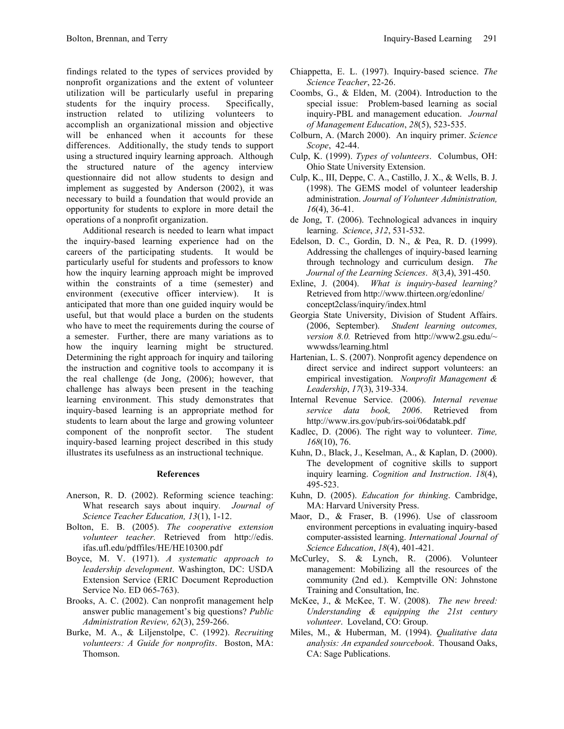findings related to the types of services provided by nonprofit organizations and the extent of volunteer utilization will be particularly useful in preparing students for the inquiry process. Specifically, instruction related to utilizing volunteers to accomplish an organizational mission and objective will be enhanced when it accounts for these differences. Additionally, the study tends to support using a structured inquiry learning approach. Although the structured nature of the agency interview questionnaire did not allow students to design and implement as suggested by Anderson (2002), it was necessary to build a foundation that would provide an opportunity for students to explore in more detail the operations of a nonprofit organization.

Additional research is needed to learn what impact the inquiry-based learning experience had on the careers of the participating students. It would be particularly useful for students and professors to know how the inquiry learning approach might be improved within the constraints of a time (semester) and environment (executive officer interview). It is anticipated that more than one guided inquiry would be useful, but that would place a burden on the students who have to meet the requirements during the course of a semester. Further, there are many variations as to how the inquiry learning might be structured. Determining the right approach for inquiry and tailoring the instruction and cognitive tools to accompany it is the real challenge (de Jong, (2006); however, that challenge has always been present in the teaching learning environment. This study demonstrates that inquiry-based learning is an appropriate method for students to learn about the large and growing volunteer component of the nonprofit sector. The student inquiry-based learning project described in this study illustrates its usefulness as an instructional technique.

## **References**

- Anerson, R. D. (2002). Reforming science teaching: What research says about inquiry*. Journal of Science Teacher Education, 13*(1), 1-12.
- Bolton, E. B. (2005). *The cooperative extension volunteer teacher.* Retrieved from http://edis. ifas.ufl.edu/pdffiles/HE/HE10300.pdf
- Boyce, M. V. (1971). *A systematic approach to leadership development*. Washington, DC: USDA Extension Service (ERIC Document Reproduction Service No. ED 065-763).
- Brooks, A. C. (2002). Can nonprofit management help answer public management's big questions? *Public Administration Review, 62*(3), 259-266.
- Burke, M. A., & Liljenstolpe, C. (1992). *Recruiting volunteers: A Guide for nonprofits*. Boston, MA: Thomson.
- Chiappetta, E. L. (1997). Inquiry-based science. *The Science Teacher*, 22-26.
- Coombs, G., & Elden, M. (2004). Introduction to the special issue: Problem-based learning as social inquiry-PBL and management education. *Journal of Management Education*, *28*(5), 523-535.
- Colburn, A. (March 2000). An inquiry primer. *Science Scope*, 42-44.
- Culp, K. (1999). *Types of volunteers*. Columbus, OH: Ohio State University Extension.
- Culp, K., III, Deppe, C. A., Castillo, J. X., & Wells, B. J. (1998). The GEMS model of volunteer leadership administration. *Journal of Volunteer Administration, 16*(4), 36-41.
- de Jong, T. (2006). Technological advances in inquiry learning. *Science*, *312*, 531-532.
- Edelson, D. C., Gordin, D. N., & Pea, R. D. (1999). Addressing the challenges of inquiry-based learning through technology and curriculum design. *The Journal of the Learning Sciences*. *8*(3,4), 391-450.
- Exline, J. (2004). *What is inquiry-based learning?* Retrieved from http://www.thirteen.org/edonline/ concept2class/inquiry/index.html
- Georgia State University, Division of Student Affairs. (2006, September). *Student learning outcomes, version 8.0.* Retrieved from http://www2.gsu.edu/~ wwwdss/learning.html
- Hartenian, L. S. (2007). Nonprofit agency dependence on direct service and indirect support volunteers: an empirical investigation. *Nonprofit Management & Leadership*, *17*(3), 319-334.
- Internal Revenue Service. (2006). *Internal revenue service data book, 2006*. Retrieved from http://www.irs.gov/pub/irs-soi/06databk.pdf
- Kadlec, D. (2006). The right way to volunteer. *Time, 168*(10), 76.
- Kuhn, D., Black, J., Keselman, A., & Kaplan, D. (2000). The development of cognitive skills to support inquiry learning. *Cognition and Instruction*. *18*(4), 495-523.
- Kuhn, D. (2005). *Education for thinking*. Cambridge, MA: Harvard University Press.
- Maor, D., & Fraser, B. (1996). Use of classroom environment perceptions in evaluating inquiry-based computer-assisted learning. *International Journal of Science Education*, *18*(4), 401-421.
- McCurley, S. & Lynch, R. (2006). Volunteer management: Mobilizing all the resources of the community (2nd ed.). Kemptville ON: Johnstone Training and Consultation, Inc.
- McKee, J., & McKee, T. W. (2008). *The new breed: Understanding & equipping the 21st century volunteer*. Loveland, CO: Group.
- Miles, M., & Huberman, M. (1994). *Qualitative data analysis: An expanded sourcebook*. Thousand Oaks, CA: Sage Publications.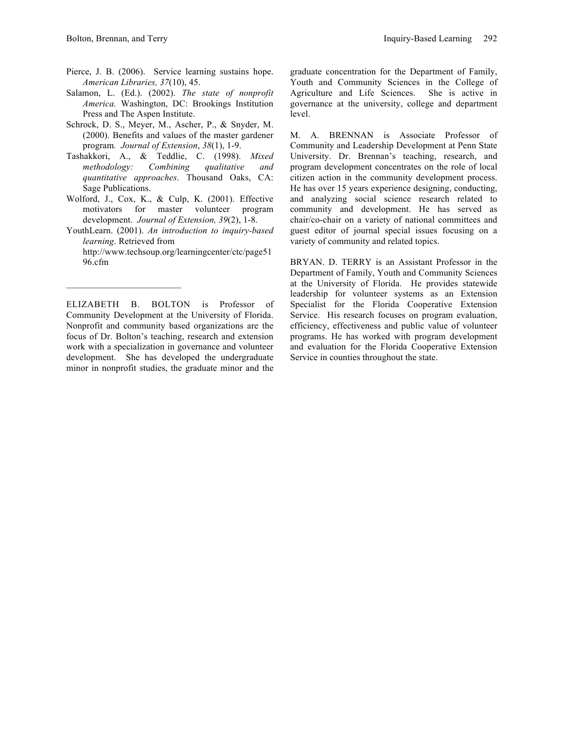- Pierce, J. B. (2006). Service learning sustains hope. *American Libraries, 37*(10), 45.
- Salamon, L. (Ed.). (2002). *The state of nonprofit America.* Washington, DC: Brookings Institution Press and The Aspen Institute.
- Schrock, D. S., Meyer, M., Ascher, P., & Snyder, M. (2000). Benefits and values of the master gardener program*. Journal of Extension*, *38*(1), 1-9.
- Tashakkori, A., & Teddlie, C. (1998). *Mixed methodology: Combining qualitative and quantitative approaches*. Thousand Oaks, CA: Sage Publications.
- Wolford, J., Cox, K., & Culp, K. (2001). Effective motivators for master volunteer program development. *Journal of Extension, 39*(2), 1-8.
- YouthLearn. (2001). *An introduction to inquiry-based learning*. Retrieved from http://www.techsoup.org/learningcenter/ctc/page51 96.cfm

ELIZABETH B. BOLTON is Professor of Community Development at the University of Florida. Nonprofit and community based organizations are the focus of Dr. Bolton's teaching, research and extension work with a specialization in governance and volunteer development. She has developed the undergraduate minor in nonprofit studies, the graduate minor and the

graduate concentration for the Department of Family, Youth and Community Sciences in the College of Agriculture and Life Sciences. She is active in governance at the university, college and department level.

M. A. BRENNAN is Associate Professor of Community and Leadership Development at Penn State University. Dr. Brennan's teaching, research, and program development concentrates on the role of local citizen action in the community development process. He has over 15 years experience designing, conducting, and analyzing social science research related to community and development. He has served as chair/co-chair on a variety of national committees and guest editor of journal special issues focusing on a variety of community and related topics.

BRYAN. D. TERRY is an Assistant Professor in the Department of Family, Youth and Community Sciences at the University of Florida. He provides statewide leadership for volunteer systems as an Extension Specialist for the Florida Cooperative Extension Service. His research focuses on program evaluation, efficiency, effectiveness and public value of volunteer programs. He has worked with program development and evaluation for the Florida Cooperative Extension Service in counties throughout the state.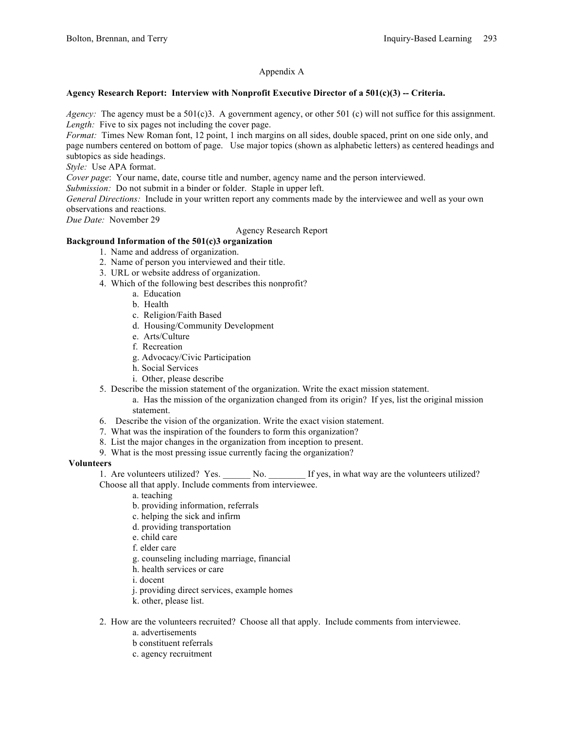## Appendix A

#### **Agency Research Report: Interview with Nonprofit Executive Director of a 501(c)(3) -- Criteria.**

*Agency:* The agency must be a 501(c)3. A government agency, or other 501 (c) will not suffice for this assignment. *Length:* Five to six pages not including the cover page.

*Format:* Times New Roman font, 12 point, 1 inch margins on all sides, double spaced, print on one side only, and page numbers centered on bottom of page. Use major topics (shown as alphabetic letters) as centered headings and subtopics as side headings.

*Style:* Use APA format.

*Cover page*: Your name, date, course title and number, agency name and the person interviewed.

*Submission:* Do not submit in a binder or folder. Staple in upper left.

*General Directions:* Include in your written report any comments made by the interviewee and well as your own observations and reactions.

*Due Date:* November 29

Agency Research Report

# **Background Information of the 501(c)3 organization**

- 1. Name and address of organization.
- 2. Name of person you interviewed and their title.
- 3. URL or website address of organization.
- 4. Which of the following best describes this nonprofit?
	- a. Education
	- b. Health
	- c. Religion/Faith Based
	- d. Housing/Community Development
	- e. Arts/Culture
	- f. Recreation
	- g. Advocacy/Civic Participation
	- h. Social Services
	- i. Other, please describe
- 5. Describe the mission statement of the organization. Write the exact mission statement.
	- a. Has the mission of the organization changed from its origin? If yes, list the original mission statement.
- 6. Describe the vision of the organization. Write the exact vision statement.
- 7. What was the inspiration of the founders to form this organization?
- 8. List the major changes in the organization from inception to present.
- 9. What is the most pressing issue currently facing the organization?

#### **Volunteers**

1. Are volunteers utilized? Yes. \_\_\_\_\_\_ No. \_\_\_\_\_\_\_ If yes, in what way are the volunteers utilized? Choose all that apply. Include comments from interviewee.

- a. teaching
- b. providing information, referrals
- c. helping the sick and infirm
- d. providing transportation
- e. child care
- f. elder care
- g. counseling including marriage, financial
- h. health services or care
- i. docent
- j. providing direct services, example homes
- k. other, please list.
- 2. How are the volunteers recruited? Choose all that apply. Include comments from interviewee.
	- a. advertisements
	- b constituent referrals
	- c. agency recruitment